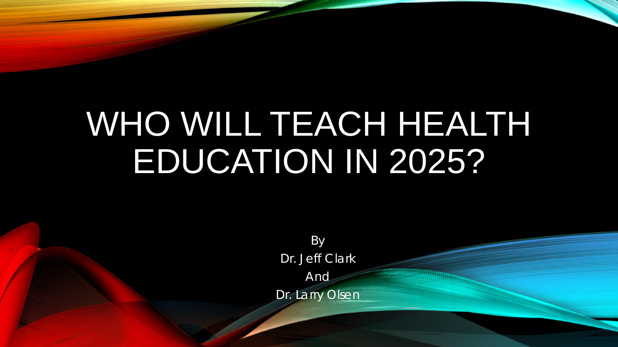# WHO WILL TEACH HEALTH EDUCATION IN 2025?

By Dr. Jeff Clark And

Dr. Larry Olsen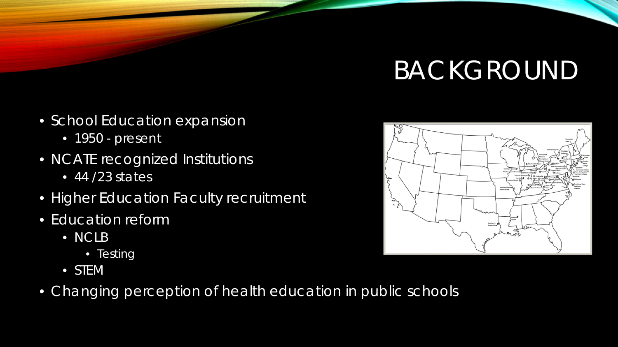## BACKGROUND

- School Education expansion
	- 1950 present
- NCATE recognized Institutions
	- $\bullet$  44 /23 states
- Higher Education Faculty recruitment
- Education reform
	- NCLB
		- Testing
	- STEM
- Changing perception of health education in public schools

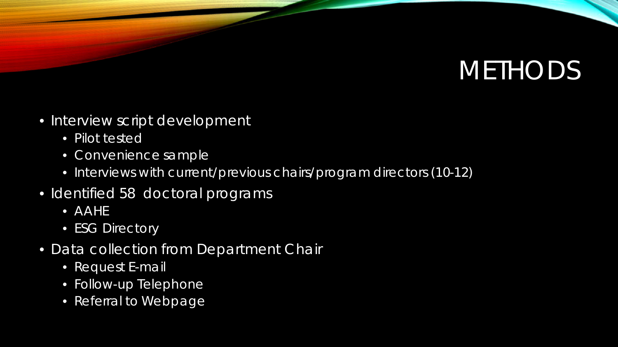### **METHODS**

- Interview script development
	- Pilot tested
	- Convenience sample
	- Interviews with current/previous chairs/program directors (10-12)
- Identified 58 doctoral programs
	- AAHE
	- ESG Directory
- Data collection from Department Chair
	- Request E-mail
	- Follow-up Telephone
	- Referral to Webpage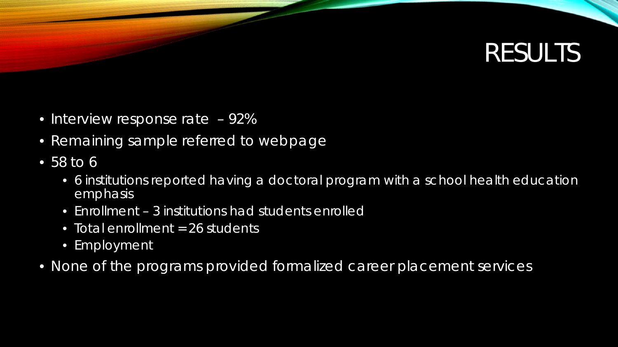#### RESULTS

- Interview response rate 92%
- Remaining sample referred to webpage
- 58 to 6
	- 6 institutions reported having a doctoral program with a school health education emphasis
	- Enrollment 3 institutions had students enrolled
	- Total enrollment = 26 students
	- Employment
- None of the programs provided formalized career placement services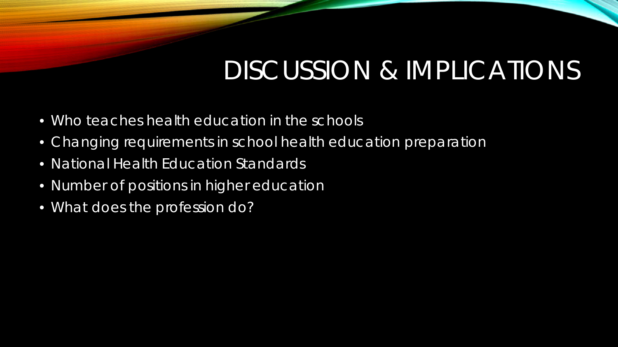### DISCUSSION & IMPLICATIONS

- Who teaches health education in the schools
- Changing requirements in school health education preparation
- National Health Education Standards
- Number of positions in higher education
- What does the profession do?